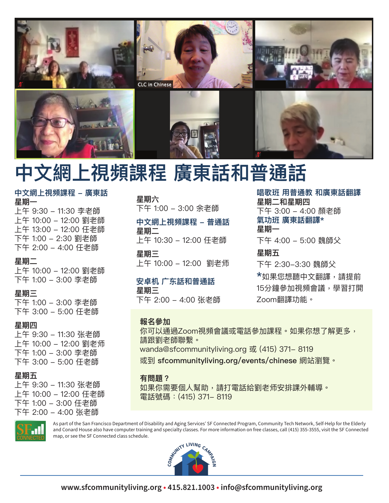

# 中文網上視頻課程 廣東話和普通話

## 中文網上視頻課程 – 廣東話 星期一

上午 9:30 - 11:30 李老師 上午 10:00 - 12:00 劉老師 上午 13:00 - 12:00 任老師 下午 1:00 – 2:30 劉老師 下午 2:00 - 4:00 任老師

## 星期二

上午 10:00 - 12:00 劉老師 下午 1:00 - 3:00 李老師

## 星期三

下午 1:00 - 3:00 李老師 下午 3:00 - 5:00 任老師

## 星期**四**

上午 9:30 - 11:30 张老師 上午 10:00 - 12:00 劉老师 下午 1:00 – 3:00 李老師 下午 3:00 – 5:00 任老師

## 星期五

上午 9:30 - 11:30 张老師 上午 10:00 – 12:00 任老師 下午 1:00 - 3:00 任老師 下午 2:00 – 4:00 张老師

## 星期六

下午 1:00 - 3:00 余老師

#### 中文網上視頻課程 – 普通話 星期二

上午 10:30 - 12:00 任老師

星期三 上午 10:00 - 12:00 劉老师

## 安卓机 广东話和普通話 星期三

下午 2:00 – 4:00 张老師

## **報名參加**

**唱歌班 用普通教 和廣東話翻譯** 星期二和星期**四** 下午 3:00 - 4:00 顏老師 氣功班 廣東話翻譯\* 星期一 下午 4:00 - 5:00 魏師父 **星期五** 下午 2:30-3:30 魏師父 **\***如果您想聽中文翻譯,請提前 15分鐘參加視頻會議,學習打開 Zoom翻譯功能。

你可以通過Zoom視頻會議或電話參加課程。如果你想了解更多, 請跟劉老師聯繫。 wanda@sfcommunityliving.org 或 (415) 371-8119

或到 sfcommunityliving.org/events/chinese 網站瀏覽。

## **有問題?**

如果你需要個人幫助,請打電話給劉老师安排課外輔導。 電話號碼:(415) 371-8119



As part of the San Francisco Department of Disability and Aging Services' SF Connected Program, Community Tech Network, Self-Help for the Elderly and Conard House also have computer training and specialty classes. For more information on free classes, call (415) 355-3555, visit the SF Connected map, or see the SF Connected class schedule.